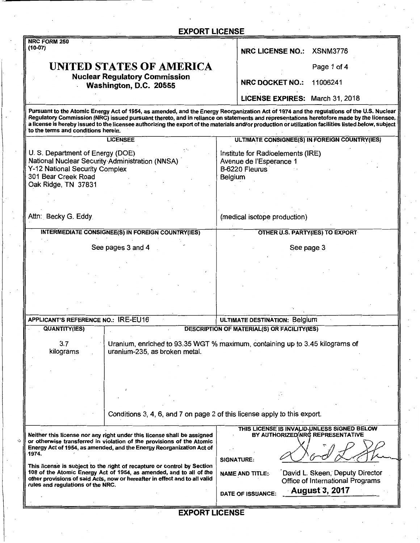| NRC FORM 250<br>$(10-07)$<br>NRC LICENSE NO.: XSNM3776<br>UNITED STATES OF AMERICA<br>Page 1 of 4<br><b>Nuclear Regulatory Commission</b><br><b>NRC DOCKET NO.:</b><br>11006241<br>Washington, D.C. 20555<br>LICENSE EXPIRES: March 31, 2018<br>to the terms and conditions herein.<br>ULTIMATE CONSIGNEE(S) IN FOREIGN COUNTRY(IES)<br><b>LICENSEE</b><br>U. S. Department of Energy (DOE)<br>Institute for Radioelements (IRE)<br>National Nuclear Security Administration (NNSA)<br>Avenue de l'Esperance 1<br>Y-12 National Security Complex<br>B-6220 Fleurus<br>301 Bear Creek Road<br>Belgium<br>Oak Ridge, TN 37831<br>Attn: Becky G. Eddy<br>(medical isotope production)<br><b>INTERMEDIATE CONSIGNEE(S) IN FOREIGN COUNTRY(IES)</b><br>OTHER U.S. PARTY(IES) TO EXPORT<br>See pages 3 and 4<br>See page 3<br>APPLICANT'S REFERENCE NO.: IRE-EU16<br>ULTIMATE DESTINATION: Belgium<br><b>QUANTITY(IES)</b><br><b>DESCRIPTION OF MATERIAL(S) OR FACILITY(IES)</b><br>3.7<br>Uranium, enriched to 93.35 WGT % maximum, containing up to 3.45 kilograms of<br>kilograms<br>uranium-235, as broken metal.<br>Conditions 3, 4, 6, and 7 on page 2 of this license apply to this export.<br>THIS LICENSE IS INVALIB UNLESS SIGNED BELOW<br>BY AUTHORIZED NRC REPRESENTATIVE<br>Neither this license nor any right under this license shall be assigned<br>or otherwise transferred in violation of the provisions of the Atomic<br>Energy Act of 1954, as amended, and the Energy Reorganization Act of<br>1974.<br><b>SIGNATURE:</b><br>This license is subject to the right of recapture or control by Section<br>108 of the Atomic Energy Act of 1954, as amended, and to all of the<br>David L. Skeen, Deputy Director<br><b>NAME AND TITLE:</b><br>other provisions of said Acts, now or hereafter in effect and to all valid<br>Office of International Programs<br>rules and regulations of the NRC.<br><b>August 3, 2017</b><br>DATE OF ISSUANCE: | <b>EXPORT LICENSE</b>                                                                                                                                                                                                                                                                                                                                                                                                                       |  |
|---------------------------------------------------------------------------------------------------------------------------------------------------------------------------------------------------------------------------------------------------------------------------------------------------------------------------------------------------------------------------------------------------------------------------------------------------------------------------------------------------------------------------------------------------------------------------------------------------------------------------------------------------------------------------------------------------------------------------------------------------------------------------------------------------------------------------------------------------------------------------------------------------------------------------------------------------------------------------------------------------------------------------------------------------------------------------------------------------------------------------------------------------------------------------------------------------------------------------------------------------------------------------------------------------------------------------------------------------------------------------------------------------------------------------------------------------------------------------------------------------------------------------------------------------------------------------------------------------------------------------------------------------------------------------------------------------------------------------------------------------------------------------------------------------------------------------------------------------------------------------------------------------------------------------------------------------------------|---------------------------------------------------------------------------------------------------------------------------------------------------------------------------------------------------------------------------------------------------------------------------------------------------------------------------------------------------------------------------------------------------------------------------------------------|--|
|                                                                                                                                                                                                                                                                                                                                                                                                                                                                                                                                                                                                                                                                                                                                                                                                                                                                                                                                                                                                                                                                                                                                                                                                                                                                                                                                                                                                                                                                                                                                                                                                                                                                                                                                                                                                                                                                                                                                                               |                                                                                                                                                                                                                                                                                                                                                                                                                                             |  |
|                                                                                                                                                                                                                                                                                                                                                                                                                                                                                                                                                                                                                                                                                                                                                                                                                                                                                                                                                                                                                                                                                                                                                                                                                                                                                                                                                                                                                                                                                                                                                                                                                                                                                                                                                                                                                                                                                                                                                               |                                                                                                                                                                                                                                                                                                                                                                                                                                             |  |
|                                                                                                                                                                                                                                                                                                                                                                                                                                                                                                                                                                                                                                                                                                                                                                                                                                                                                                                                                                                                                                                                                                                                                                                                                                                                                                                                                                                                                                                                                                                                                                                                                                                                                                                                                                                                                                                                                                                                                               |                                                                                                                                                                                                                                                                                                                                                                                                                                             |  |
|                                                                                                                                                                                                                                                                                                                                                                                                                                                                                                                                                                                                                                                                                                                                                                                                                                                                                                                                                                                                                                                                                                                                                                                                                                                                                                                                                                                                                                                                                                                                                                                                                                                                                                                                                                                                                                                                                                                                                               |                                                                                                                                                                                                                                                                                                                                                                                                                                             |  |
|                                                                                                                                                                                                                                                                                                                                                                                                                                                                                                                                                                                                                                                                                                                                                                                                                                                                                                                                                                                                                                                                                                                                                                                                                                                                                                                                                                                                                                                                                                                                                                                                                                                                                                                                                                                                                                                                                                                                                               | Pursuant to the Atomic Energy Act of 1954, as amended, and the Energy Reorganization Act of 1974 and the regulations of the U.S. Nuclear<br>Regulatory Commission (NRC) issued pursuant thereto, and in reliance on statements and representations heretofore made by the licensee,<br>a license is hereby issued to the licensee authorizing the export of the materials and/or production or utilization facilities listed below, subject |  |
|                                                                                                                                                                                                                                                                                                                                                                                                                                                                                                                                                                                                                                                                                                                                                                                                                                                                                                                                                                                                                                                                                                                                                                                                                                                                                                                                                                                                                                                                                                                                                                                                                                                                                                                                                                                                                                                                                                                                                               |                                                                                                                                                                                                                                                                                                                                                                                                                                             |  |
|                                                                                                                                                                                                                                                                                                                                                                                                                                                                                                                                                                                                                                                                                                                                                                                                                                                                                                                                                                                                                                                                                                                                                                                                                                                                                                                                                                                                                                                                                                                                                                                                                                                                                                                                                                                                                                                                                                                                                               |                                                                                                                                                                                                                                                                                                                                                                                                                                             |  |
|                                                                                                                                                                                                                                                                                                                                                                                                                                                                                                                                                                                                                                                                                                                                                                                                                                                                                                                                                                                                                                                                                                                                                                                                                                                                                                                                                                                                                                                                                                                                                                                                                                                                                                                                                                                                                                                                                                                                                               |                                                                                                                                                                                                                                                                                                                                                                                                                                             |  |
|                                                                                                                                                                                                                                                                                                                                                                                                                                                                                                                                                                                                                                                                                                                                                                                                                                                                                                                                                                                                                                                                                                                                                                                                                                                                                                                                                                                                                                                                                                                                                                                                                                                                                                                                                                                                                                                                                                                                                               |                                                                                                                                                                                                                                                                                                                                                                                                                                             |  |
|                                                                                                                                                                                                                                                                                                                                                                                                                                                                                                                                                                                                                                                                                                                                                                                                                                                                                                                                                                                                                                                                                                                                                                                                                                                                                                                                                                                                                                                                                                                                                                                                                                                                                                                                                                                                                                                                                                                                                               |                                                                                                                                                                                                                                                                                                                                                                                                                                             |  |
|                                                                                                                                                                                                                                                                                                                                                                                                                                                                                                                                                                                                                                                                                                                                                                                                                                                                                                                                                                                                                                                                                                                                                                                                                                                                                                                                                                                                                                                                                                                                                                                                                                                                                                                                                                                                                                                                                                                                                               |                                                                                                                                                                                                                                                                                                                                                                                                                                             |  |
|                                                                                                                                                                                                                                                                                                                                                                                                                                                                                                                                                                                                                                                                                                                                                                                                                                                                                                                                                                                                                                                                                                                                                                                                                                                                                                                                                                                                                                                                                                                                                                                                                                                                                                                                                                                                                                                                                                                                                               |                                                                                                                                                                                                                                                                                                                                                                                                                                             |  |
|                                                                                                                                                                                                                                                                                                                                                                                                                                                                                                                                                                                                                                                                                                                                                                                                                                                                                                                                                                                                                                                                                                                                                                                                                                                                                                                                                                                                                                                                                                                                                                                                                                                                                                                                                                                                                                                                                                                                                               |                                                                                                                                                                                                                                                                                                                                                                                                                                             |  |
|                                                                                                                                                                                                                                                                                                                                                                                                                                                                                                                                                                                                                                                                                                                                                                                                                                                                                                                                                                                                                                                                                                                                                                                                                                                                                                                                                                                                                                                                                                                                                                                                                                                                                                                                                                                                                                                                                                                                                               |                                                                                                                                                                                                                                                                                                                                                                                                                                             |  |
|                                                                                                                                                                                                                                                                                                                                                                                                                                                                                                                                                                                                                                                                                                                                                                                                                                                                                                                                                                                                                                                                                                                                                                                                                                                                                                                                                                                                                                                                                                                                                                                                                                                                                                                                                                                                                                                                                                                                                               |                                                                                                                                                                                                                                                                                                                                                                                                                                             |  |
|                                                                                                                                                                                                                                                                                                                                                                                                                                                                                                                                                                                                                                                                                                                                                                                                                                                                                                                                                                                                                                                                                                                                                                                                                                                                                                                                                                                                                                                                                                                                                                                                                                                                                                                                                                                                                                                                                                                                                               |                                                                                                                                                                                                                                                                                                                                                                                                                                             |  |
|                                                                                                                                                                                                                                                                                                                                                                                                                                                                                                                                                                                                                                                                                                                                                                                                                                                                                                                                                                                                                                                                                                                                                                                                                                                                                                                                                                                                                                                                                                                                                                                                                                                                                                                                                                                                                                                                                                                                                               |                                                                                                                                                                                                                                                                                                                                                                                                                                             |  |
|                                                                                                                                                                                                                                                                                                                                                                                                                                                                                                                                                                                                                                                                                                                                                                                                                                                                                                                                                                                                                                                                                                                                                                                                                                                                                                                                                                                                                                                                                                                                                                                                                                                                                                                                                                                                                                                                                                                                                               |                                                                                                                                                                                                                                                                                                                                                                                                                                             |  |
|                                                                                                                                                                                                                                                                                                                                                                                                                                                                                                                                                                                                                                                                                                                                                                                                                                                                                                                                                                                                                                                                                                                                                                                                                                                                                                                                                                                                                                                                                                                                                                                                                                                                                                                                                                                                                                                                                                                                                               |                                                                                                                                                                                                                                                                                                                                                                                                                                             |  |
|                                                                                                                                                                                                                                                                                                                                                                                                                                                                                                                                                                                                                                                                                                                                                                                                                                                                                                                                                                                                                                                                                                                                                                                                                                                                                                                                                                                                                                                                                                                                                                                                                                                                                                                                                                                                                                                                                                                                                               |                                                                                                                                                                                                                                                                                                                                                                                                                                             |  |
|                                                                                                                                                                                                                                                                                                                                                                                                                                                                                                                                                                                                                                                                                                                                                                                                                                                                                                                                                                                                                                                                                                                                                                                                                                                                                                                                                                                                                                                                                                                                                                                                                                                                                                                                                                                                                                                                                                                                                               |                                                                                                                                                                                                                                                                                                                                                                                                                                             |  |
|                                                                                                                                                                                                                                                                                                                                                                                                                                                                                                                                                                                                                                                                                                                                                                                                                                                                                                                                                                                                                                                                                                                                                                                                                                                                                                                                                                                                                                                                                                                                                                                                                                                                                                                                                                                                                                                                                                                                                               |                                                                                                                                                                                                                                                                                                                                                                                                                                             |  |
|                                                                                                                                                                                                                                                                                                                                                                                                                                                                                                                                                                                                                                                                                                                                                                                                                                                                                                                                                                                                                                                                                                                                                                                                                                                                                                                                                                                                                                                                                                                                                                                                                                                                                                                                                                                                                                                                                                                                                               |                                                                                                                                                                                                                                                                                                                                                                                                                                             |  |
|                                                                                                                                                                                                                                                                                                                                                                                                                                                                                                                                                                                                                                                                                                                                                                                                                                                                                                                                                                                                                                                                                                                                                                                                                                                                                                                                                                                                                                                                                                                                                                                                                                                                                                                                                                                                                                                                                                                                                               |                                                                                                                                                                                                                                                                                                                                                                                                                                             |  |
|                                                                                                                                                                                                                                                                                                                                                                                                                                                                                                                                                                                                                                                                                                                                                                                                                                                                                                                                                                                                                                                                                                                                                                                                                                                                                                                                                                                                                                                                                                                                                                                                                                                                                                                                                                                                                                                                                                                                                               |                                                                                                                                                                                                                                                                                                                                                                                                                                             |  |
|                                                                                                                                                                                                                                                                                                                                                                                                                                                                                                                                                                                                                                                                                                                                                                                                                                                                                                                                                                                                                                                                                                                                                                                                                                                                                                                                                                                                                                                                                                                                                                                                                                                                                                                                                                                                                                                                                                                                                               |                                                                                                                                                                                                                                                                                                                                                                                                                                             |  |
|                                                                                                                                                                                                                                                                                                                                                                                                                                                                                                                                                                                                                                                                                                                                                                                                                                                                                                                                                                                                                                                                                                                                                                                                                                                                                                                                                                                                                                                                                                                                                                                                                                                                                                                                                                                                                                                                                                                                                               |                                                                                                                                                                                                                                                                                                                                                                                                                                             |  |
|                                                                                                                                                                                                                                                                                                                                                                                                                                                                                                                                                                                                                                                                                                                                                                                                                                                                                                                                                                                                                                                                                                                                                                                                                                                                                                                                                                                                                                                                                                                                                                                                                                                                                                                                                                                                                                                                                                                                                               |                                                                                                                                                                                                                                                                                                                                                                                                                                             |  |
|                                                                                                                                                                                                                                                                                                                                                                                                                                                                                                                                                                                                                                                                                                                                                                                                                                                                                                                                                                                                                                                                                                                                                                                                                                                                                                                                                                                                                                                                                                                                                                                                                                                                                                                                                                                                                                                                                                                                                               |                                                                                                                                                                                                                                                                                                                                                                                                                                             |  |
|                                                                                                                                                                                                                                                                                                                                                                                                                                                                                                                                                                                                                                                                                                                                                                                                                                                                                                                                                                                                                                                                                                                                                                                                                                                                                                                                                                                                                                                                                                                                                                                                                                                                                                                                                                                                                                                                                                                                                               |                                                                                                                                                                                                                                                                                                                                                                                                                                             |  |
|                                                                                                                                                                                                                                                                                                                                                                                                                                                                                                                                                                                                                                                                                                                                                                                                                                                                                                                                                                                                                                                                                                                                                                                                                                                                                                                                                                                                                                                                                                                                                                                                                                                                                                                                                                                                                                                                                                                                                               |                                                                                                                                                                                                                                                                                                                                                                                                                                             |  |
|                                                                                                                                                                                                                                                                                                                                                                                                                                                                                                                                                                                                                                                                                                                                                                                                                                                                                                                                                                                                                                                                                                                                                                                                                                                                                                                                                                                                                                                                                                                                                                                                                                                                                                                                                                                                                                                                                                                                                               |                                                                                                                                                                                                                                                                                                                                                                                                                                             |  |
|                                                                                                                                                                                                                                                                                                                                                                                                                                                                                                                                                                                                                                                                                                                                                                                                                                                                                                                                                                                                                                                                                                                                                                                                                                                                                                                                                                                                                                                                                                                                                                                                                                                                                                                                                                                                                                                                                                                                                               |                                                                                                                                                                                                                                                                                                                                                                                                                                             |  |
|                                                                                                                                                                                                                                                                                                                                                                                                                                                                                                                                                                                                                                                                                                                                                                                                                                                                                                                                                                                                                                                                                                                                                                                                                                                                                                                                                                                                                                                                                                                                                                                                                                                                                                                                                                                                                                                                                                                                                               |                                                                                                                                                                                                                                                                                                                                                                                                                                             |  |
|                                                                                                                                                                                                                                                                                                                                                                                                                                                                                                                                                                                                                                                                                                                                                                                                                                                                                                                                                                                                                                                                                                                                                                                                                                                                                                                                                                                                                                                                                                                                                                                                                                                                                                                                                                                                                                                                                                                                                               |                                                                                                                                                                                                                                                                                                                                                                                                                                             |  |
|                                                                                                                                                                                                                                                                                                                                                                                                                                                                                                                                                                                                                                                                                                                                                                                                                                                                                                                                                                                                                                                                                                                                                                                                                                                                                                                                                                                                                                                                                                                                                                                                                                                                                                                                                                                                                                                                                                                                                               |                                                                                                                                                                                                                                                                                                                                                                                                                                             |  |
|                                                                                                                                                                                                                                                                                                                                                                                                                                                                                                                                                                                                                                                                                                                                                                                                                                                                                                                                                                                                                                                                                                                                                                                                                                                                                                                                                                                                                                                                                                                                                                                                                                                                                                                                                                                                                                                                                                                                                               |                                                                                                                                                                                                                                                                                                                                                                                                                                             |  |
|                                                                                                                                                                                                                                                                                                                                                                                                                                                                                                                                                                                                                                                                                                                                                                                                                                                                                                                                                                                                                                                                                                                                                                                                                                                                                                                                                                                                                                                                                                                                                                                                                                                                                                                                                                                                                                                                                                                                                               |                                                                                                                                                                                                                                                                                                                                                                                                                                             |  |
|                                                                                                                                                                                                                                                                                                                                                                                                                                                                                                                                                                                                                                                                                                                                                                                                                                                                                                                                                                                                                                                                                                                                                                                                                                                                                                                                                                                                                                                                                                                                                                                                                                                                                                                                                                                                                                                                                                                                                               |                                                                                                                                                                                                                                                                                                                                                                                                                                             |  |
|                                                                                                                                                                                                                                                                                                                                                                                                                                                                                                                                                                                                                                                                                                                                                                                                                                                                                                                                                                                                                                                                                                                                                                                                                                                                                                                                                                                                                                                                                                                                                                                                                                                                                                                                                                                                                                                                                                                                                               |                                                                                                                                                                                                                                                                                                                                                                                                                                             |  |
|                                                                                                                                                                                                                                                                                                                                                                                                                                                                                                                                                                                                                                                                                                                                                                                                                                                                                                                                                                                                                                                                                                                                                                                                                                                                                                                                                                                                                                                                                                                                                                                                                                                                                                                                                                                                                                                                                                                                                               |                                                                                                                                                                                                                                                                                                                                                                                                                                             |  |
|                                                                                                                                                                                                                                                                                                                                                                                                                                                                                                                                                                                                                                                                                                                                                                                                                                                                                                                                                                                                                                                                                                                                                                                                                                                                                                                                                                                                                                                                                                                                                                                                                                                                                                                                                                                                                                                                                                                                                               |                                                                                                                                                                                                                                                                                                                                                                                                                                             |  |
|                                                                                                                                                                                                                                                                                                                                                                                                                                                                                                                                                                                                                                                                                                                                                                                                                                                                                                                                                                                                                                                                                                                                                                                                                                                                                                                                                                                                                                                                                                                                                                                                                                                                                                                                                                                                                                                                                                                                                               |                                                                                                                                                                                                                                                                                                                                                                                                                                             |  |
|                                                                                                                                                                                                                                                                                                                                                                                                                                                                                                                                                                                                                                                                                                                                                                                                                                                                                                                                                                                                                                                                                                                                                                                                                                                                                                                                                                                                                                                                                                                                                                                                                                                                                                                                                                                                                                                                                                                                                               |                                                                                                                                                                                                                                                                                                                                                                                                                                             |  |
|                                                                                                                                                                                                                                                                                                                                                                                                                                                                                                                                                                                                                                                                                                                                                                                                                                                                                                                                                                                                                                                                                                                                                                                                                                                                                                                                                                                                                                                                                                                                                                                                                                                                                                                                                                                                                                                                                                                                                               |                                                                                                                                                                                                                                                                                                                                                                                                                                             |  |

 $\mathbb{Z}^2$ 

 $\frac{1}{2}$ 

 $\frac{1}{2}$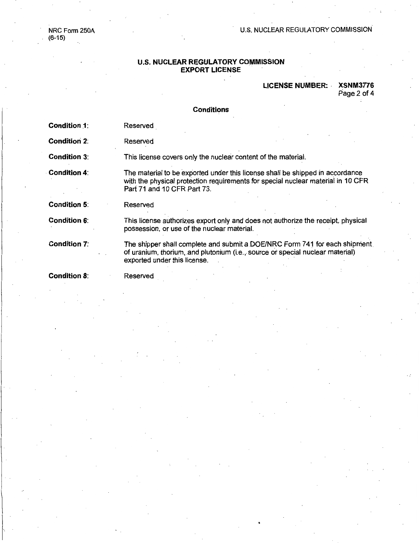NRC Form 250A (6-15)

#### U.S. NUCLEAR REGULATORY COMMISSION

#### **U.S. NUCLEAR REGULATORY COMMISSION EXPORT LICENSE**

#### **LICENSE NUMBER: · XSNM3776**

Page 2 of 4

## **Conditions**

- **Condition 1:** Reserved
- **Condition 2:** Reserved

**Condition 3:**  This license covers only the nuclear content of the material.

**Condition 4:**  The material to be exported under this license shall be shipped in accordance with the physical protection requirements for special nuclear material in 10 CFR Part 71 and 10 CFR Part 73.

**Condition 5:**  Reserved

**Condition 6:**  This license authorizes export only and does not authorize the receipt, physical possession, or use of the nuclear material.

**Condition 7:**  The shipper shall complete and submit a DOE/NRC Form 741 for each shipment of uranium, thorium, and plutonium (i.e ... source *ot* special nuclear material) exported under this license.

**Condition 8:** 

Reserved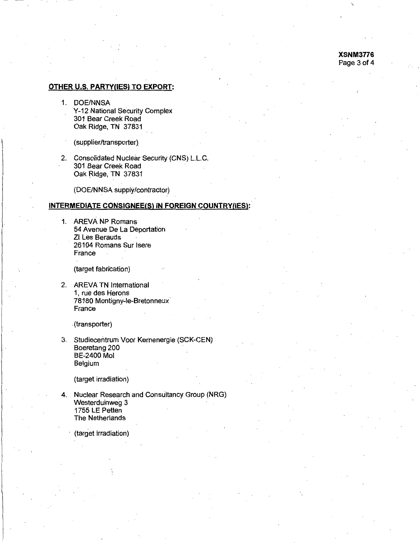**XSNM3776**  Page 3 of 4

 $\check{y}$ 

## **OTHER U.S. PARTY(IES) TO EXPORT:**

- 1. DOE/NNSA Y-12 National Security Complex 301 Bear Creek Road Oak Ridge, TN 37831
	- (supplier/transporter}
- 2. Consolidated Nuclear Security (CNS) L.L.C. 301 Bear Creek Road Oak Ridge, TN 37831

(DOE/NNSA supply/contractor)

## **INTERMEDIATE CONSIGNEE(S) IN FOREIGN COUNTRY(IES):**

1. AREVA NP Romans 54 Avenue De La Deportation ZI Les Berauds 26104 Romans Sur lsere France

(target fabrication)

2. AREVA TN International 1, rue des Herons 78180 Montigny-le-Bretonneux France

. (transporter)

3. Studiecentrum Voor Kernenergie (SCK-CEN) Boeretang 200 BE-2400 Mol Belgium

(target irradiation)

4. Nuclear Research and Consultancy Group (NRG) Westerduinweg 3 1755 LE Petten The Netherlands

(target irradiation)